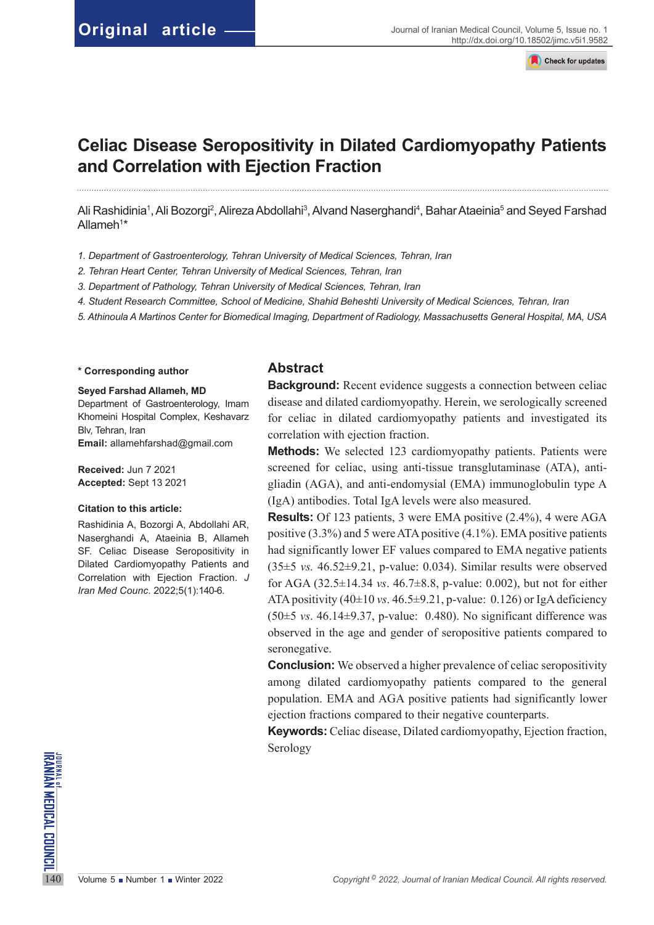Check for updates

# **Celiac Disease Seropositivity in Dilated Cardiomyopathy Patients and Correlation with Ejection Fraction**

Ali Rashidinia1, Ali Bozorgi<sup>2</sup>, Alireza Abdollahi<sup>3</sup>, Alvand Naserghandi<sup>4</sup>, Bahar Ataeinia<sup>5</sup> and Seyed Farshad Allameh<sup>1\*</sup>

- *1. Department of Gastroenterology, Tehran University of Medical Sciences, Tehran, Iran*
- *2. Tehran Heart Center, Tehran University of Medical Sciences, Tehran, Iran*
- *3. Department of Pathology, Tehran University of Medical Sciences, Tehran, Iran*
- *4. Student Research Committee, School of Medicine, Shahid Beheshti University of Medical Sciences, Tehran, Iran*
- *5. Athinoula A Martinos Center for Biomedical Imaging, Department of Radiology, Massachusetts General Hospital, MA, USA*

#### **\* Corresponding author**

#### **Seyed Farshad Allameh, MD**

Department of Gastroenterology, Imam Khomeini Hospital Complex, Keshavarz Blv, Tehran, Iran **Email:** [allamehfarshad@gmail.com](mailto:allamehfarshad@gmail.com)

**Received:** Jun 7 2021 **Accepted:** Sept 13 2021

#### **Citation to this article:**

Rashidinia A, Bozorgi A, Abdollahi AR, Naserghandi A, Ataeinia B, Allameh SF. Celiac Disease Seropositivity in Dilated Cardiomyopathy Patients and Correlation with Ejection Fraction. *J Iran Med Counc*. 2022;5(1):140-6.

## **Abstract**

**Background:** Recent evidence suggests a connection between celiac disease and dilated cardiomyopathy. Herein, we serologically screened for celiac in dilated cardiomyopathy patients and investigated its correlation with ejection fraction.

**Methods:** We selected 123 cardiomyopathy patients. Patients were screened for celiac, using anti-tissue transglutaminase (ATA), antigliadin (AGA), and anti-endomysial (EMA) immunoglobulin type A (IgA) antibodies. Total IgA levels were also measured.

**Results:** Of 123 patients, 3 were EMA positive (2.4%), 4 were AGA positive (3.3%) and 5 were ATA positive (4.1%). EMA positive patients had significantly lower EF values compared to EMA negative patients (35±5 *vs.* 46.52±9.21, p-value: 0.034). Similar results were observed for AGA (32.5±14.34 *vs*. 46.7±8.8, p-value: 0.002), but not for either ATA positivity  $(40\pm10 \text{ vs. } 46.5\pm9.21, \text{ p-value: } 0.126)$  or IgA deficiency (50±5 *vs*. 46.14±9.37, p-value: 0.480). No significant difference was observed in the age and gender of seropositive patients compared to seronegative.

**Conclusion:** We observed a higher prevalence of celiac seropositivity among dilated cardiomyopathy patients compared to the general population. EMA and AGA positive patients had significantly lower ejection fractions compared to their negative counterparts.

**Keywords:** Celiac disease, Dilated cardiomyopathy, Ejection fraction, Serology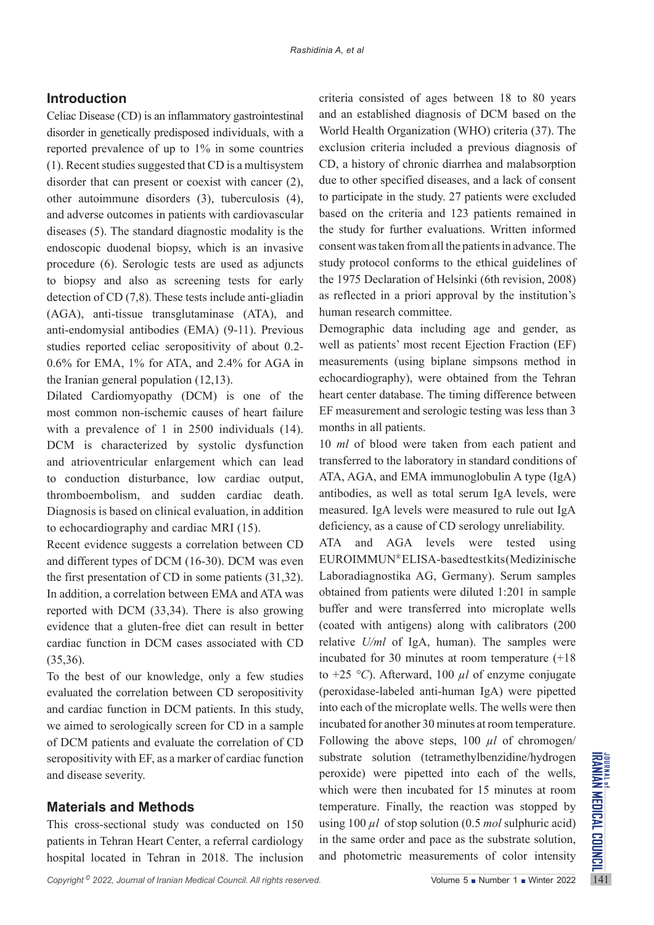# **Introduction**

Celiac Disease (CD) is an inflammatory gastrointestinal disorder in genetically predisposed individuals, with a reported prevalence of up to 1% in some countries (1). Recent studies suggested that CD is a multisystem disorder that can present or coexist with cancer (2), other autoimmune disorders (3), tuberculosis (4), and adverse outcomes in patients with cardiovascular diseases (5). The standard diagnostic modality is the endoscopic duodenal biopsy, which is an invasive procedure (6). Serologic tests are used as adjuncts to biopsy and also as screening tests for early detection of CD (7,8). These tests include anti-gliadin (AGA), anti-tissue transglutaminase (ATA), and anti-endomysial antibodies (EMA) (9-11). Previous studies reported celiac seropositivity of about 0.2- 0.6% for EMA, 1% for ATA, and 2.4% for AGA in the Iranian general population (12,13).

Dilated Cardiomyopathy (DCM) is one of the most common non-ischemic causes of heart failure with a prevalence of 1 in 2500 individuals (14). DCM is characterized by systolic dysfunction and atrioventricular enlargement which can lead to conduction disturbance, low cardiac output, thromboembolism, and sudden cardiac death. Diagnosis is based on clinical evaluation, in addition to echocardiography and cardiac MRI (15).

Recent evidence suggests a correlation between CD and different types of DCM (16-30). DCM was even the first presentation of CD in some patients (31,32). In addition, a correlation between EMA and ATA was reported with DCM (33,34). There is also growing evidence that a gluten-free diet can result in better cardiac function in DCM cases associated with CD (35,36).

To the best of our knowledge, only a few studies evaluated the correlation between CD seropositivity and cardiac function in DCM patients. In this study, we aimed to serologically screen for CD in a sample of DCM patients and evaluate the correlation of CD seropositivity with EF, as a marker of cardiac function and disease severity.

# **Materials and Methods**

This cross-sectional study was conducted on 150 patients in Tehran Heart Center, a referral cardiology hospital located in Tehran in 2018. The inclusion criteria consisted of ages between 18 to 80 years and an established diagnosis of DCM based on the World Health Organization (WHO) criteria (37). The exclusion criteria included a previous diagnosis of CD, a history of chronic diarrhea and malabsorption due to other specified diseases, and a lack of consent to participate in the study. 27 patients were excluded based on the criteria and 123 patients remained in the study for further evaluations. Written informed consent was taken from all the patients in advance. The study protocol conforms to the ethical guidelines of the 1975 Declaration of Helsinki (6th revision, 2008) as reflected in a priori approval by the institution's human research committee.

Demographic data including age and gender, as well as patients' most recent Ejection Fraction (EF) measurements (using biplane simpsons method in echocardiography), were obtained from the Tehran heart center database. The timing difference between EF measurement and serologic testing was less than 3 months in all patients.

10 *ml* of blood were taken from each patient and transferred to the laboratory in standard conditions of ATA, AGA, and EMA immunoglobulin A type (IgA) antibodies, as well as total serum IgA levels, were measured. IgA levels were measured to rule out IgA deficiency, as a cause of CD serology unreliability.

ATA and AGA levels were tested using EUROIMMUN® ELISA-based test kits (Medizinische Laboradiagnostika AG, Germany). Serum samples obtained from patients were diluted 1:201 in sample buffer and were transferred into microplate wells (coated with antigens) along with calibrators (200 relative *U/ml* of IgA, human). The samples were incubated for 30 minutes at room temperature (+18 to  $+25$  °C). Afterward, 100  $\mu$ *l* of enzyme conjugate (peroxidase-labeled anti-human IgA) were pipetted into each of the microplate wells. The wells were then incubated for another 30 minutes at room temperature. Following the above steps, 100  $\mu$ l of chromogen/ substrate solution (tetramethylbenzidine/hydrogen peroxide) were pipetted into each of the wells, which were then incubated for 15 minutes at room temperature. Finally, the reaction was stopped by using 100 *µl* of stop solution (0.5 *mol* sulphuric acid) in the same order and pace as the substrate solution, and photometric measurements of color intensity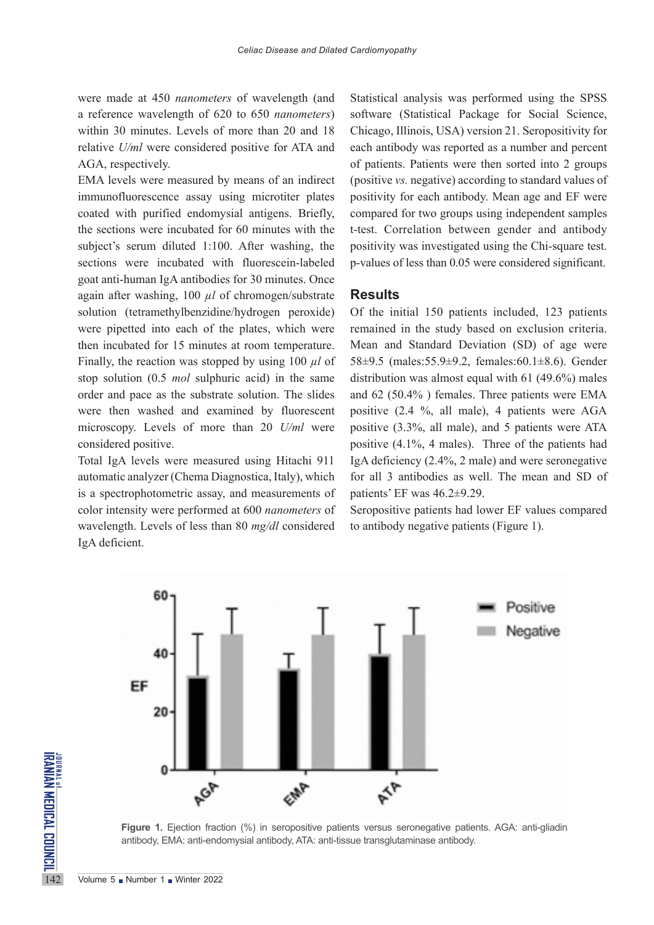were made at 450 *nanometers* of wavelength (and a reference wavelength of 620 to 650 *nanometers*) within 30 minutes. Levels of more than 20 and 18 relative *U/ml* were considered positive for ATA and AGA, respectively.

EMA levels were measured by means of an indirect immunofluorescence assay using microtiter plates coated with purified endomysial antigens. Briefly, the sections were incubated for 60 minutes with the subject's serum diluted 1:100. After washing, the sections were incubated with fluorescein-labeled goat anti-human IgA antibodies for 30 minutes. Once again after washing, 100 *µl* of chromogen/substrate solution (tetramethylbenzidine/hydrogen peroxide) were pipetted into each of the plates, which were then incubated for 15 minutes at room temperature. Finally, the reaction was stopped by using 100 *µl* of stop solution (0.5 *mol* sulphuric acid) in the same order and pace as the substrate solution. The slides were then washed and examined by fluorescent microscopy. Levels of more than 20 *U/ml* were considered positive.

Total IgA levels were measured using Hitachi 911 automatic analyzer (Chema Diagnostica, Italy), which is a spectrophotometric assay, and measurements of color intensity were performed at 600 *nanometers* of wavelength. Levels of less than 80 *mg/dl* considered IgA deficient.

Statistical analysis was performed using the SPSS software (Statistical Package for Social Science, Chicago, Illinois, USA) version 21. Seropositivity for each antibody was reported as a number and percent of patients. Patients were then sorted into 2 groups (positive *vs.* negative) according to standard values of positivity for each antibody. Mean age and EF were compared for two groups using independent samples t-test. Correlation between gender and antibody positivity was investigated using the Chi-square test. p-values of less than 0.05 were considered significant.

### **Results**

Of the initial 150 patients included, 123 patients remained in the study based on exclusion criteria. Mean and Standard Deviation (SD) of age were 58±9.5 (males:55.9±9.2, females:60.1±8.6). Gender distribution was almost equal with 61 (49.6%) males and 62 (50.4% ) females. Three patients were EMA positive (2.4 %, all male), 4 patients were AGA positive (3.3%, all male), and 5 patients were ATA positive (4.1%, 4 males). Three of the patients had IgA deficiency (2.4%, 2 male) and were seronegative for all 3 antibodies as well. The mean and SD of patients' EF was 46.2±9.29.

Seropositive patients had lower EF values compared to antibody negative patients (Figure 1).



**Figure 1.** Ejection fraction (%) in seropositive patients versus seronegative patients. AGA: anti-gliadin antibody, EMA: anti-endomysial antibody, ATA: anti-tissue transglutaminase antibody.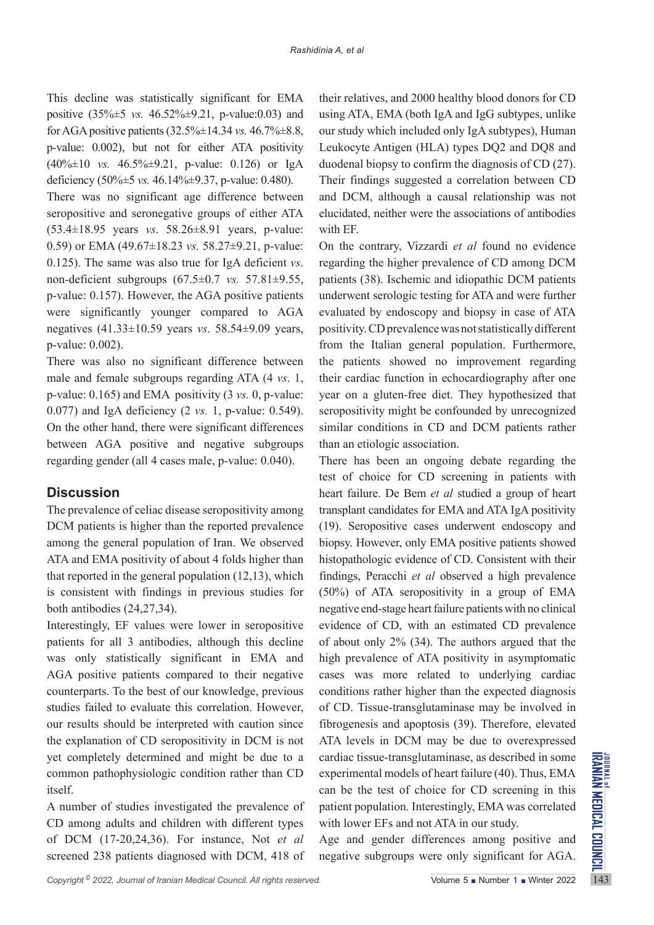This decline was statistically significant for EMA positive (35%±5 *vs.* 46.52%±9.21, p-value:0.03) and for AGA positive patients (32.5%±14.34 *vs.* 46.7%±8.8, p-value: 0.002), but not for either ATA positivity (40%±10 *vs.* 46.5%±9.21, p-value: 0.126) or IgA deficiency (50%±5 *vs.* 46.14%±9.37, p-value: 0.480).

There was no significant age difference between seropositive and seronegative groups of either ATA (53.4±18.95 years *vs*. 58.26±8.91 years, p-value: 0.59) or EMA (49.67±18.23 *vs.* 58.27±9.21, p-value: 0.125). The same was also true for IgA deficient *vs*. non-deficient subgroups (67.5±0.7 *vs.* 57.81±9.55, p-value: 0.157). However, the AGA positive patients were significantly younger compared to AGA negatives (41.33±10.59 years *vs*. 58.54±9.09 years, p-value: 0.002).

There was also no significant difference between male and female subgroups regarding ATA (4 *vs*. 1, p-value: 0.165) and EMA positivity (3 *vs.* 0, p-value: 0.077) and IgA deficiency (2 *vs.* 1, p-value: 0.549). On the other hand, there were significant differences between AGA positive and negative subgroups regarding gender (all 4 cases male, p-value: 0.040).

# **Discussion**

The prevalence of celiac disease seropositivity among DCM patients is higher than the reported prevalence among the general population of Iran. We observed ATA and EMA positivity of about 4 folds higher than that reported in the general population (12,13), which is consistent with findings in previous studies for both antibodies (24,27,34).

Interestingly, EF values were lower in seropositive patients for all 3 antibodies, although this decline was only statistically significant in EMA and AGA positive patients compared to their negative counterparts. To the best of our knowledge, previous studies failed to evaluate this correlation. However, our results should be interpreted with caution since the explanation of CD seropositivity in DCM is not yet completely determined and might be due to a common pathophysiologic condition rather than CD itself.

A number of studies investigated the prevalence of CD among adults and children with different types of DCM (17-20,24,36). For instance, Not *et al*  screened 238 patients diagnosed with DCM, 418 of their relatives, and 2000 healthy blood donors for CD using ATA, EMA (both IgA and IgG subtypes, unlike our study which included only IgA subtypes), Human Leukocyte Antigen (HLA) types DQ2 and DQ8 and duodenal biopsy to confirm the diagnosis of CD (27). Their findings suggested a correlation between CD and DCM, although a causal relationship was not elucidated, neither were the associations of antibodies with EF.

On the contrary, Vizzardi *et al* found no evidence regarding the higher prevalence of CD among DCM patients (38). Ischemic and idiopathic DCM patients underwent serologic testing for ATA and were further evaluated by endoscopy and biopsy in case of ATA positivity. CD prevalence was not statistically different from the Italian general population. Furthermore, the patients showed no improvement regarding their cardiac function in echocardiography after one year on a gluten-free diet. They hypothesized that seropositivity might be confounded by unrecognized similar conditions in CD and DCM patients rather than an etiologic association.

There has been an ongoing debate regarding the test of choice for CD screening in patients with heart failure. De Bem *et al* studied a group of heart transplant candidates for EMA and ATA IgA positivity (19). Seropositive cases underwent endoscopy and biopsy. However, only EMA positive patients showed histopathologic evidence of CD. Consistent with their findings, Peracchi *et al* observed a high prevalence (50%) of ATA seropositivity in a group of EMA negative end-stage heart failure patients with no clinical evidence of CD, with an estimated CD prevalence of about only 2% (34). The authors argued that the high prevalence of ATA positivity in asymptomatic cases was more related to underlying cardiac conditions rather higher than the expected diagnosis of CD. Tissue-transglutaminase may be involved in fibrogenesis and apoptosis (39). Therefore, elevated ATA levels in DCM may be due to overexpressed cardiac tissue-transglutaminase, as described in some experimental models of heart failure (40). Thus, EMA can be the test of choice for CD screening in this patient population. Interestingly, EMA was correlated with lower EFs and not ATA in our study.

Age and gender differences among positive and negative subgroups were only significant for AGA.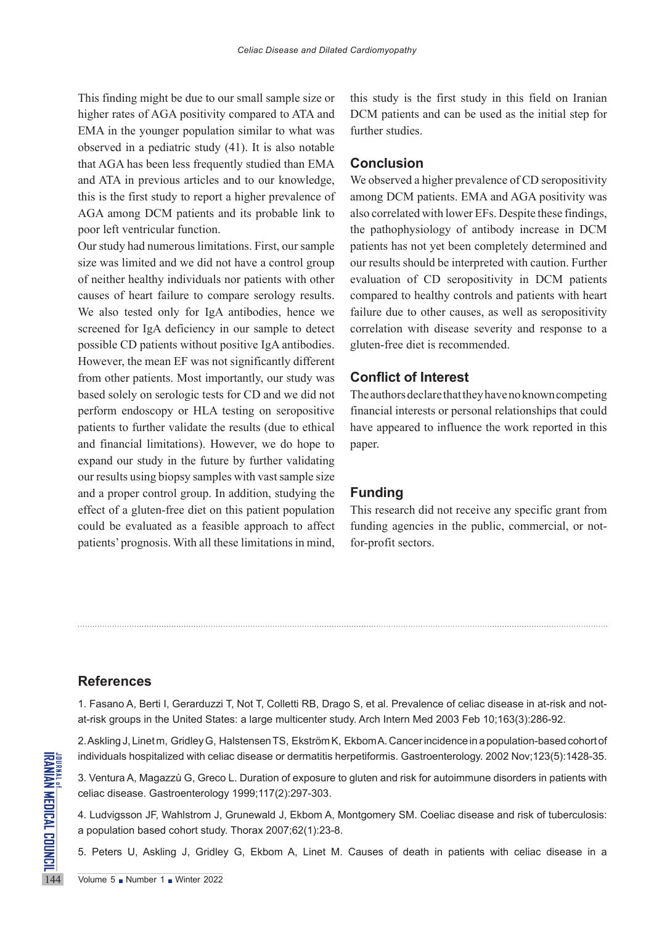This finding might be due to our small sample size or higher rates of AGA positivity compared to ATA and EMA in the younger population similar to what was observed in a pediatric study (41). It is also notable that AGA has been less frequently studied than EMA and ATA in previous articles and to our knowledge, this is the first study to report a higher prevalence of AGA among DCM patients and its probable link to poor left ventricular function.

Our study had numerous limitations. First, our sample size was limited and we did not have a control group of neither healthy individuals nor patients with other causes of heart failure to compare serology results. We also tested only for IgA antibodies, hence we screened for IgA deficiency in our sample to detect possible CD patients without positive IgA antibodies. However, the mean EF was not significantly different from other patients. Most importantly, our study was based solely on serologic tests for CD and we did not perform endoscopy or HLA testing on seropositive patients to further validate the results (due to ethical and financial limitations). However, we do hope to expand our study in the future by further validating our results using biopsy samples with vast sample size and a proper control group. In addition, studying the effect of a gluten-free diet on this patient population could be evaluated as a feasible approach to affect patients' prognosis. With all these limitations in mind,

this study is the first study in this field on Iranian DCM patients and can be used as the initial step for further studies.

## **Conclusion**

We observed a higher prevalence of CD seropositivity among DCM patients. EMA and AGA positivity was also correlated with lower EFs. Despite these findings, the pathophysiology of antibody increase in DCM patients has not yet been completely determined and our results should be interpreted with caution. Further evaluation of CD seropositivity in DCM patients compared to healthy controls and patients with heart failure due to other causes, as well as seropositivity correlation with disease severity and response to a gluten-free diet is recommended.

#### **Conflict of Interest**

The authors declare that they have no known competing financial interests or personal relationships that could have appeared to influence the work reported in this paper.

## **Funding**

This research did not receive any specific grant from funding agencies in the public, commercial, or notfor-profit sectors.

# **References**

1. Fasano A, Berti I, Gerarduzzi T, Not T, Colletti RB, Drago S, et al. Prevalence of celiac disease in at-risk and notat-risk groups in the United States: a large multicenter study. Arch Intern Med 2003 Feb 10;163(3):286-92.

2. Askling J, [Linet](https://pubmed.ncbi.nlm.nih.gov/?term=Linet+M&cauthor_id=12404215) m, [Gridley](https://pubmed.ncbi.nlm.nih.gov/?term=Gridley+G&cauthor_id=12404215) G, [Halstensen](https://pubmed.ncbi.nlm.nih.gov/?term=Halstensen+TS&cauthor_id=12404215) TS, [Ekström](https://pubmed.ncbi.nlm.nih.gov/?term=Ekstr%C3%B6m+K&cauthor_id=12404215) K, [Ekbom](https://pubmed.ncbi.nlm.nih.gov/?term=Ekbom+A&cauthor_id=12404215) A. Cancer incidence in a population-based cohort of individuals hospitalized with celiac disease or dermatitis herpetiformis. Gastroenterology. 2002 Nov;123(5):1428-35.

3. Ventura A, Magazzù G, Greco L. Duration of exposure to gluten and risk for autoimmune disorders in patients with celiac disease. Gastroenterology 1999;117(2):297-303.

INDEPTITE<br>
IS INCREASE IN SUCKSERING THE SERVICE OF SUITE<br>
IS SUCH THAT AN ANGRED OF SUITE<br>
IS SUITED TO A LUDVIGSSON JF, Wahlstrom J,<br>
a population based cohort study<br>
5. Peters U, Askling J, Gridle<br>
Volume 5 Number 1 Num 4. Ludvigsson JF, Wahlstrom J, Grunewald J, Ekbom A, Montgomery SM. Coeliac disease and risk of tuberculosis: a population based cohort study. Thorax 2007;62(1):23-8.

5. Peters U, Askling J, Gridley G, Ekbom A, Linet M. Causes of death in patients with celiac disease in a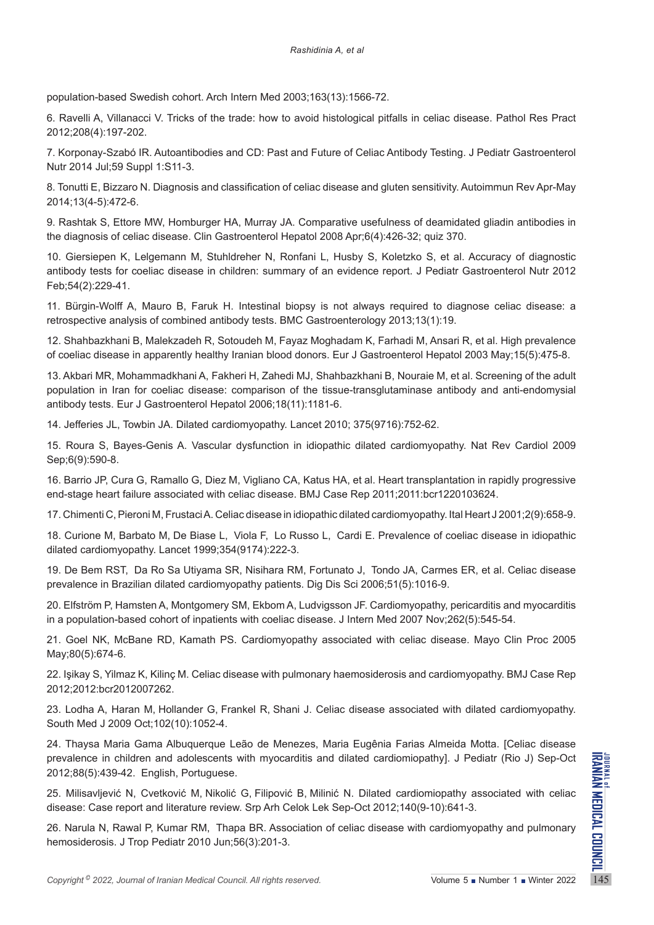population-based Swedish cohort. Arch Intern Med 2003;163(13):1566-72.

6. Ravelli A, Villanacci V. Tricks of the trade: how to avoid histological pitfalls in celiac disease. Pathol Res Pract 2012;208(4):197-202.

7. Korponay-Szabó IR. Autoantibodies and CD: Past and Future of Celiac Antibody Testing. J Pediatr Gastroenterol Nutr 2014 Jul;59 Suppl 1:S11-3.

8. Tonutti E, Bizzaro N. Diagnosis and classification of celiac disease and gluten sensitivity. Autoimmun Rev Apr-May 2014;13(4-5):472-6.

9. Rashtak S, Ettore MW, Homburger HA, Murray JA. Comparative usefulness of deamidated gliadin antibodies in the diagnosis of celiac disease. Clin Gastroenterol Hepatol 2008 Apr;6(4):426-32; quiz 370.

10. Giersiepen K, Lelgemann M, Stuhldreher N, Ronfani L, Husby S, Koletzko S, et al. Accuracy of diagnostic antibody tests for coeliac disease in children: summary of an evidence report. J Pediatr Gastroenterol Nutr 2012 Feb;54(2):229-41.

11. Bürgin-Wolff A, Mauro B, Faruk H. Intestinal biopsy is not always required to diagnose celiac disease: a retrospective analysis of combined antibody tests. BMC Gastroenterology 2013;13(1):19.

12. Shahbazkhani B, Malekzadeh R, Sotoudeh M, Fayaz Moghadam K, Farhadi M, Ansari R, et al. High prevalence of coeliac disease in apparently healthy Iranian blood donors. Eur J Gastroenterol Hepatol 2003 May;15(5):475-8.

13. Akbari MR, [Mohammadkhani](https://pubmed.ncbi.nlm.nih.gov/?term=Mohammadkhani+A&cauthor_id=17033439) A, [Fakheri](https://pubmed.ncbi.nlm.nih.gov/?term=Fakheri+H&cauthor_id=17033439) H[, Zahedi](https://pubmed.ncbi.nlm.nih.gov/?term=Javad+Zahedi+M&cauthor_id=17033439) MJ, [Shahbazkhani](https://pubmed.ncbi.nlm.nih.gov/?term=Shahbazkhani+B&cauthor_id=17033439) B, [Nouraie](https://pubmed.ncbi.nlm.nih.gov/?term=Nouraie+M&cauthor_id=17033439) M, et al. Screening of the adult population in Iran for coeliac disease: comparison of the tissue-transglutaminase antibody and anti-endomysial antibody tests. Eur J Gastroenterol Hepatol 2006;18(11):1181-6.

14. Jefferies JL, Towbin JA. Dilated cardiomyopathy. Lancet 2010; 375(9716):752-62.

15. Roura S, Bayes-Genis A. Vascular dysfunction in idiopathic dilated cardiomyopathy. Nat Rev Cardiol 2009 Sep;6(9):590-8.

16. Barrio JP, [Cura](https://pubmed.ncbi.nlm.nih.gov/?term=Cura+G&cauthor_id=22696747) G, [Ramallo](https://pubmed.ncbi.nlm.nih.gov/?term=Ramallo+G&cauthor_id=22696747) G, [Diez](https://pubmed.ncbi.nlm.nih.gov/?term=Diez+M&cauthor_id=22696747) M, [Vigliano](https://pubmed.ncbi.nlm.nih.gov/?term=Vigliano+CA&cauthor_id=22696747) CA, [Katus](https://pubmed.ncbi.nlm.nih.gov/?term=Katus+HA&cauthor_id=22696747) HA, et al. Heart transplantation in rapidly progressive end-stage heart failure associated with celiac disease. BMJ Case Rep 2011;2011:bcr1220103624.

17. Chimenti C, Pieroni M, Frustaci A. Celiac disease in idiopathic dilated cardiomyopathy. Ital Heart J 2001;2(9):658-9.

18. Curione M, [Barbato](https://pubmed.ncbi.nlm.nih.gov/?term=Barbato+M&cauthor_id=10421311) M, [De Biase](https://pubmed.ncbi.nlm.nih.gov/?term=De+Biase+L&cauthor_id=10421311) L, [Viola](https://pubmed.ncbi.nlm.nih.gov/?term=Viola+F&cauthor_id=10421311) F, [Lo Russo](https://pubmed.ncbi.nlm.nih.gov/?term=Lo+Russo+L&cauthor_id=10421311) L, [Cardi](https://pubmed.ncbi.nlm.nih.gov/?term=Cardi+E&cauthor_id=10421311) E. Prevalence of coeliac disease in idiopathic dilated cardiomyopathy. Lancet 1999;354(9174):222-3.

19. De Bem RST, [Da Ro Sa Utiyama](https://pubmed.ncbi.nlm.nih.gov/?term=Da+Ro+Sa+Utiyama+SR&cauthor_id=16758314) SR, [Nisihara](https://pubmed.ncbi.nlm.nih.gov/?term=Nisihara+RM&cauthor_id=16758314) RM, [Fortunato](https://pubmed.ncbi.nlm.nih.gov/?term=Fortunato+JA&cauthor_id=16758314) J, [Tondo](https://pubmed.ncbi.nlm.nih.gov/?term=Tondo+JA&cauthor_id=16758314) JA, [Carmes](https://pubmed.ncbi.nlm.nih.gov/?term=Carmes+ER&cauthor_id=16758314) ER, et al. Celiac disease prevalence in Brazilian dilated cardiomyopathy patients. Dig Dis Sci 2006;51(5):1016-9.

20. Elfström P, Hamsten A, Montgomery SM, Ekbom A, Ludvigsson JF. Cardiomyopathy, pericarditis and myocarditis in a population-based cohort of inpatients with coeliac disease. J Intern Med 2007 Nov;262(5):545-54.

21. Goel NK, McBane RD, Kamath PS. Cardiomyopathy associated with celiac disease. Mayo Clin Proc 2005 May;80(5):674-6.

22. Işikay S, Yilmaz K, Kilinç M. Celiac disease with pulmonary haemosiderosis and cardiomyopathy. BMJ Case Rep 2012;2012:bcr2012007262.

23. Lodha A, [Haran](https://pubmed.ncbi.nlm.nih.gov/?term=Haran+M&cauthor_id=19738524) M, [Hollander](https://pubmed.ncbi.nlm.nih.gov/?term=Hollander+G&cauthor_id=19738524) G, [Frankel](https://pubmed.ncbi.nlm.nih.gov/?term=Frankel+R&cauthor_id=19738524) R, [Shani](https://pubmed.ncbi.nlm.nih.gov/?term=Shani+J&cauthor_id=19738524) J. Celiac disease associated with dilated cardiomyopathy. South Med J 2009 Oct;102(10):1052-4.

24. Thaysa Maria Gama Albuquerque Leão de Menezes, Maria Eugênia Farias Almeida Motta. [Celiac disease prevalence in children and adolescents with myocarditis and dilated cardiomiopathy]. J Pediatr (Rio J) Sep-Oct 2012;88(5):439-42. English, Portuguese.

25. Milisavljević N, [Cvetković](https://pubmed.ncbi.nlm.nih.gov/?term=Cvetkovi%C4%87+M&cauthor_id=23289283) M, [Nikolić](https://pubmed.ncbi.nlm.nih.gov/?term=Nikoli%C4%87+G&cauthor_id=23289283) G, [Filipović](https://pubmed.ncbi.nlm.nih.gov/?term=Filipovi%C4%87+B&cauthor_id=23289283) B, [Milinić](https://pubmed.ncbi.nlm.nih.gov/?term=Milini%C4%87+N&cauthor_id=23289283) N. Dilated cardiomiopathy associated with celiac disease: Case report and literature review. Srp Arh Celok Lek Sep-Oct 2012;140(9-10):641-3.

26. Narula N, [Rawal](https://pubmed.ncbi.nlm.nih.gov/?term=Rawal+P&cauthor_id=19897848) P, [Kumar](https://pubmed.ncbi.nlm.nih.gov/?term=Kumar+RM&cauthor_id=19897848) RM, [Thapa](https://pubmed.ncbi.nlm.nih.gov/?term=Ram+Thapa+B&cauthor_id=19897848) BR. Association of celiac disease with cardiomyopathy and pulmonary hemosiderosis. J Trop Pediatr 2010 Jun;56(3):201-3.